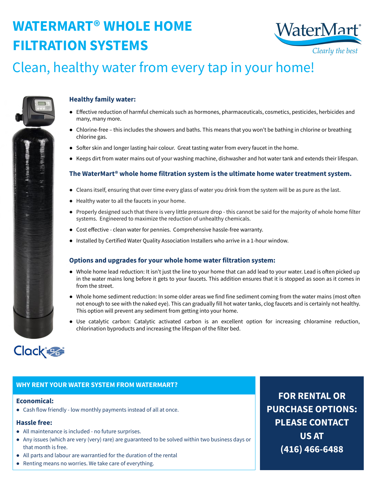# **WATERMART® WHOLE HOME FILTRATION SYSTEMS**



### **Healthy family water:**

- **●** Effective reduction of harmful chemicals such as hormones, pharmaceuticals, cosmetics, pesticides, herbicides and many, many more.
- **●** Chlorine-free this includes the showers and baths. This means that you won't be bathing in chlorine or breathing chlorine gas.
- Softer skin and longer lasting hair colour. Great tasting water from every faucet in the home.
- **●** Keeps dirt from water mains out of your washing machine, dishwasher and hot water tank and extends their lifespan.

#### **The WaterMart® whole home filtration system is the ultimate home water treatment system.**

- Cleans itself, ensuring that over time every glass of water you drink from the system will be as pure as the last.
- Healthy water to all the faucets in your home.
- Properly designed such that there is very little pressure drop this cannot be said for the majority of whole home filter systems. Engineered to maximize the reduction of unhealthy chemicals.
- Cost effective clean water for pennies. Comprehensive hassle-free warranty.
- Installed by Certified Water Quality Association Installers who arrive in a 1-hour window.

### **Options and upgrades for your whole home water filtration system:**

- Whole home lead reduction: It isn't just the line to your home that can add lead to your water. Lead is often picked up in the water mains long before it gets to your faucets. This addition ensures that it is stopped as soon as it comes in from the street.
- Whole home sediment reduction: In some older areas we find fine sediment coming from the water mains (most often not enough to see with the naked eye). This can gradually fill hot water tanks, clog faucets and is certainly not healthy. This option will prevent any sediment from getting into your home.
- Use catalytic carbon: Catalytic activated carbon is an excellent option for increasing chloramine reduction, chlorination byproducts and increasing the lifespan of the filter bed.



### Clean, healthy water from every tap in your home!



#### **Economical:**

● Cash flow friendly - low monthly payments instead of all at once.

### **Hassle free:**

- All maintenance is included no future surprises.
- Any issues (which are very (very) rare) are guaranteed to be solved within two business days or that month is free.
- All parts and labour are warrantied for the duration of the rental
- Renting means no worries. We take care of everything.

#### **WHY RENT YOUR WATER SYSTEM FROM WATERMART?**

**FOR RENTAL OR PURCHASE OPTIONS: PLEASE CONTACT US AT (416) 466-6488**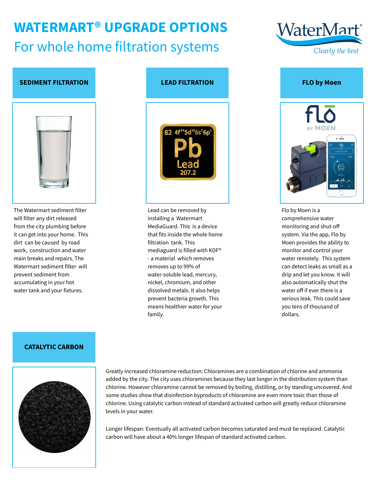# **WATERMART® UPGRADE OPTIONS** For whole home filtration systems



Flo by Moen is a comprehensive water monitoring and shut-off system. Via the app, Flo by Moen provides the ability to monitor and control your water remotely. This system can detect leaks as small as a drip and let you know. It will also automatically shut the water off if ever there is a serious leak. This could save you tens of thousand of dollars.





The Watermart sediment filter will filter any dirt released from the city plumbing before it can get into your home. This dirt can be caused by road work, construction and water main breaks and repairs. The Watermart sediment filter will prevent sediment from accumulating in your hot water tank and your fixtures.





Greatly increased chloramine reduction: Chloramines are a combination of chlorine and ammonia added by the city. The city uses chloramines because they last longer in the distribution system than chlorine. However chloramine cannot be removed by boiling, distilling, or by standing uncovered. And some studies show that disinfection byproducts of chloramine are even more toxic than those of chlorine. Using catalytic carbon instead of standard activated carbon will greatly reduce chloramine levels in your water.

Longer lifespan: Eventually all activated carbon becomes saturated and must be replaced. Catalytic carbon will have about a 40% longer lifespan of standard activated carbon.

**CATALYTIC CARBON**

Lead can be removed by installing a Watermart MediaGuard. This is a device that fits inside the whole home filtration tank. This mediaguard is filled with KDF® - a material which removes removes up to 99% of water-soluble lead, mercury, nickel, chromium, and other dissolved metals. It also helps prevent bacteria growth. This means healthier water for your family.

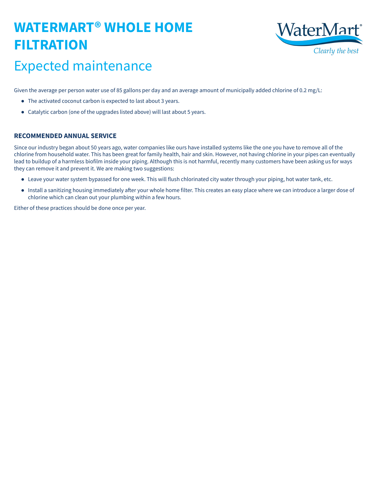### **WATERMART® WHOLE HOME FILTRATION**



### Expected maintenance

- The activated coconut carbon is expected to last about 3 years.
- Catalytic carbon (one of the upgrades listed above) will last about 5 years.

Given the average per person water use of 85 gallons per day and an average amount of municipally added chlorine of 0.2 mg/L:

#### **RECOMMENDED ANNUAL SERVICE**

Since our industry began about 50 years ago, water companies like ours have installed systems like the one you have to remove all of the chlorine from household water. This has been great for family health, hair and skin. However, not having chlorine in your pipes can eventually lead to buildup of a harmless biofilm inside your piping. Although this is not harmful, recently many customers have been asking us for ways they can remove it and prevent it. We are making two suggestions:

- Leave your water system bypassed for one week. This will flush chlorinated city water through your piping, hot water tank, etc.
- Install a sanitizing housing immediately after your whole home filter. This creates an easy place where we can introduce a larger dose of chlorine which can clean out your plumbing within a few hours.

Either of these practices should be done once per year.